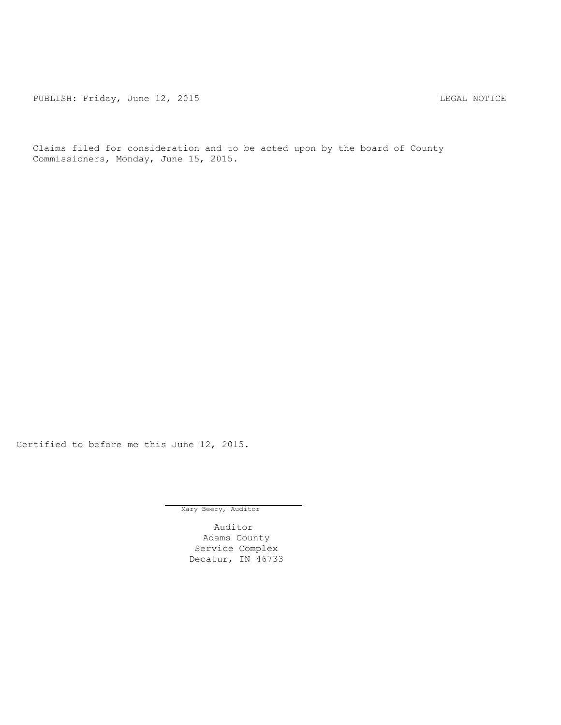PUBLISH: Friday, June 12, 2015 LEGAL NOTICE

Claims filed for consideration and to be acted upon by the board of County Commissioners, Monday, June 15, 2015.

Certified to before me this June 12, 2015.

Mary Beery, Auditor

Auditor Adams County Service Complex Decatur, IN 46733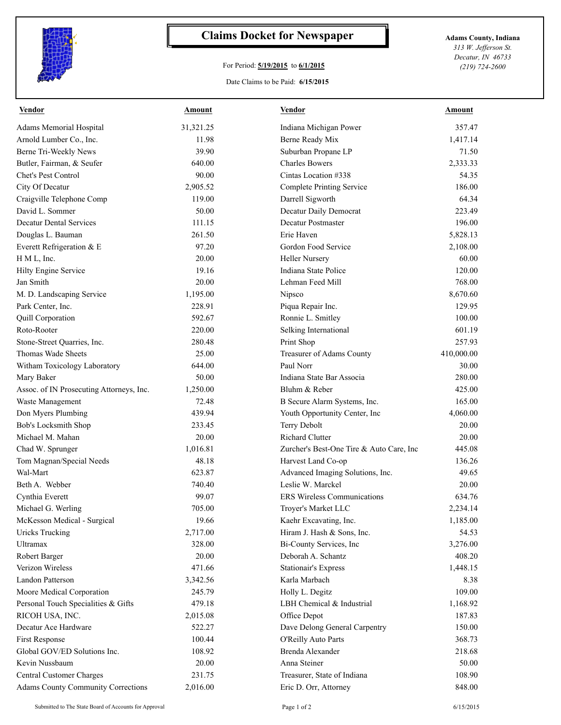

## **Claims Docket for Newspaper Adams County, Indiana**

## For Period: **5/19/2015** to **6/1/2015**

*313 W. Jefferson St. Decatur, IN 46733 (219) 724-2600*

## Date Claims to be Paid: **6/15/2015**

| <b>Vendor</b>                             | <b>Amount</b> | <b>Vendor</b>                            | <b>Amount</b> |
|-------------------------------------------|---------------|------------------------------------------|---------------|
| Adams Memorial Hospital                   | 31,321.25     | Indiana Michigan Power                   | 357.47        |
| Arnold Lumber Co., Inc.                   | 11.98         | <b>Berne Ready Mix</b>                   | 1,417.14      |
| Berne Tri-Weekly News                     | 39.90         | Suburban Propane LP                      | 71.50         |
| Butler, Fairman, & Seufer                 | 640.00        | <b>Charles Bowers</b>                    | 2,333.33      |
| Chet's Pest Control                       | 90.00         | Cintas Location #338                     | 54.35         |
| City Of Decatur                           | 2,905.52      | Complete Printing Service                | 186.00        |
| Craigville Telephone Comp                 | 119.00        | Darrell Sigworth                         | 64.34         |
| David L. Sommer                           | 50.00         | Decatur Daily Democrat                   | 223.49        |
| <b>Decatur Dental Services</b>            | 111.15        | <b>Decatur Postmaster</b>                | 196.00        |
| Douglas L. Bauman                         | 261.50        | Erie Haven                               | 5,828.13      |
| Everett Refrigeration & E                 | 97.20         | Gordon Food Service                      | 2,108.00      |
| H M L, Inc.                               | 20.00         | <b>Heller Nursery</b>                    | 60.00         |
| Hilty Engine Service                      | 19.16         | Indiana State Police                     | 120.00        |
| Jan Smith                                 | 20.00         | Lehman Feed Mill                         | 768.00        |
| M. D. Landscaping Service                 | 1,195.00      | Nipsco                                   | 8,670.60      |
| Park Center, Inc.                         | 228.91        | Piqua Repair Inc.                        | 129.95        |
| Quill Corporation                         | 592.67        | Ronnie L. Smitley                        | 100.00        |
| Roto-Rooter                               | 220.00        | Selking International                    | 601.19        |
| Stone-Street Quarries, Inc.               | 280.48        | Print Shop                               | 257.93        |
| Thomas Wade Sheets                        | 25.00         | Treasurer of Adams County                | 410,000.00    |
| Witham Toxicology Laboratory              | 644.00        | Paul Norr                                | 30.00         |
| Mary Baker                                | 50.00         | Indiana State Bar Associa                | 280.00        |
| Assoc. of IN Prosecuting Attorneys, Inc.  | 1,250.00      | Bluhm & Reber                            | 425.00        |
| Waste Management                          | 72.48         | B Secure Alarm Systems, Inc.             | 165.00        |
| Don Myers Plumbing                        | 439.94        | Youth Opportunity Center, Inc            | 4,060.00      |
| Bob's Locksmith Shop                      | 233.45        | Terry Debolt                             | 20.00         |
| Michael M. Mahan                          | 20.00         | <b>Richard Clutter</b>                   | 20.00         |
| Chad W. Sprunger                          | 1,016.81      | Zurcher's Best-One Tire & Auto Care, Inc | 445.08        |
| Tom Magnan/Special Needs                  | 48.18         | Harvest Land Co-op                       | 136.26        |
| Wal-Mart                                  | 623.87        | Advanced Imaging Solutions, Inc.         | 49.65         |
| Beth A. Webber                            | 740.40        | Leslie W. Marckel                        | 20.00         |
| Cynthia Everett                           | 99.07         | <b>ERS</b> Wireless Communications       | 634.76        |
| Michael G. Werling                        | 705.00        | Troyer's Market LLC                      | 2,234.14      |
| McKesson Medical - Surgical               | 19.66         | Kaehr Excavating, Inc.                   | 1,185.00      |
| <b>Uricks Trucking</b>                    | 2,717.00      | Hiram J. Hash & Sons, Inc.               | 54.53         |
| Ultramax                                  | 328.00        | Bi-County Services, Inc                  | 3,276.00      |
| Robert Barger                             | 20.00         | Deborah A. Schantz                       | 408.20        |
| Verizon Wireless                          | 471.66        | <b>Stationair's Express</b>              | 1,448.15      |
| Landon Patterson                          | 3,342.56      | Karla Marbach                            | 8.38          |
| Moore Medical Corporation                 | 245.79        | Holly L. Degitz                          | 109.00        |
| Personal Touch Specialities & Gifts       | 479.18        | LBH Chemical & Industrial                | 1,168.92      |
| RICOH USA, INC.                           | 2,015.08      | Office Depot                             | 187.83        |
| Decatur Ace Hardware                      |               |                                          |               |
|                                           | 522.27        | Dave Delong General Carpentry            | 150.00        |
| First Response                            | 100.44        | O'Reilly Auto Parts                      | 368.73        |
| Global GOV/ED Solutions Inc.              | 108.92        | Brenda Alexander                         | 218.68        |
| Kevin Nussbaum                            | 20.00         | Anna Steiner                             | 50.00         |
| Central Customer Charges                  | 231.75        | Treasurer, State of Indiana              | 108.90        |
| <b>Adams County Community Corrections</b> | 2,016.00      | Eric D. Orr, Attorney                    | 848.00        |

Submitted to The State Board of Accounts for Approval Page 1 of 2 6/15/2015